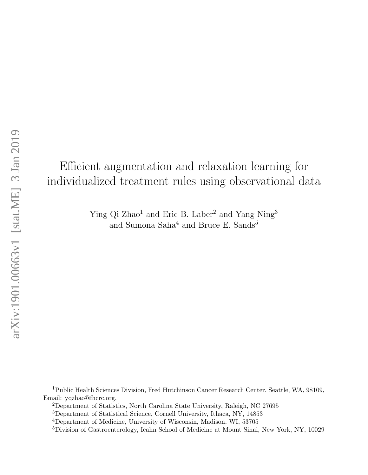# Efficient augmentation and relaxation learning for individualized treatment rules using observational data

Ying-Qi Zhao<sup>1</sup> and Eric B. Laber<sup>2</sup> and Yang Ning<sup>3</sup> and Sumona Saha<sup>4</sup> and Bruce E. Sands<sup>5</sup>

<sup>1</sup>Public Health Sciences Division, Fred Hutchinson Cancer Research Center, Seattle, WA, 98109, Email: yqzhao@fhcrc.org.

<sup>2</sup>Department of Statistics, North Carolina State University, Raleigh, NC 27695

<sup>3</sup>Department of Statistical Science, Cornell University, Ithaca, NY, 14853

<sup>4</sup>Department of Medicine, University of Wisconsin, Madison, WI, 53705

<sup>5</sup>Division of Gastroenterology, Icahn School of Medicine at Mount Sinai, New York, NY, 10029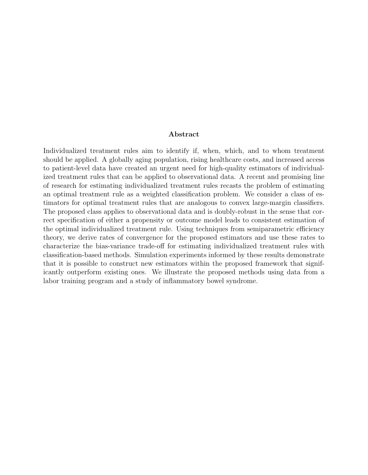#### Abstract

Individualized treatment rules aim to identify if, when, which, and to whom treatment should be applied. A globally aging population, rising healthcare costs, and increased access to patient-level data have created an urgent need for high-quality estimators of individualized treatment rules that can be applied to observational data. A recent and promising line of research for estimating individualized treatment rules recasts the problem of estimating an optimal treatment rule as a weighted classification problem. We consider a class of estimators for optimal treatment rules that are analogous to convex large-margin classifiers. The proposed class applies to observational data and is doubly-robust in the sense that correct specification of either a propensity or outcome model leads to consistent estimation of the optimal individualized treatment rule. Using techniques from semiparametric efficiency theory, we derive rates of convergence for the proposed estimators and use these rates to characterize the bias-variance trade-off for estimating individualized treatment rules with classification-based methods. Simulation experiments informed by these results demonstrate that it is possible to construct new estimators within the proposed framework that significantly outperform existing ones. We illustrate the proposed methods using data from a labor training program and a study of inflammatory bowel syndrome.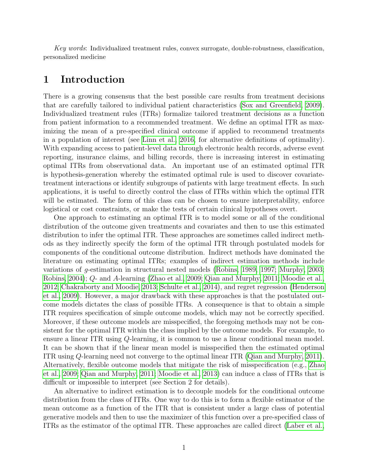Key words: Individualized treatment rules, convex surrogate, double-robustness, classification, personalized medicine

## 1 Introduction

There is a growing consensus that the best possible care results from treatment decisions that are carefully tailored to individual patient characteristics [\(Sox and Greenfield, 2009\)](#page-19-0). Individualized treatment rules (ITRs) formalize tailored treatment decisions as a function from patient information to a recommended treatment. We define an optimal ITR as maximizing the mean of a pre-specified clinical outcome if applied to recommend treatments in a population of interest (see [Linn et al., 2016,](#page-18-0) for alternative definitions of optimality). With expanding access to patient-level data through electronic health records, adverse event reporting, insurance claims, and billing records, there is increasing interest in estimating optimal ITRs from observational data. An important use of an estimated optimal ITR is hypothesis-generation whereby the estimated optimal rule is used to discover covariatetreatment interactions or identify subgroups of patients with large treatment effects. In such applications, it is useful to directly control the class of ITRs within which the optimal ITR will be estimated. The form of this class can be chosen to ensure interpretability, enforce logistical or cost constraints, or make the tests of certain clinical hypotheses overt.

One approach to estimating an optimal ITR is to model some or all of the conditional distribution of the outcome given treatments and covariates and then to use this estimated distribution to infer the optimal ITR. These approaches are sometimes called indirect methods as they indirectly specify the form of the optimal ITR through postulated models for components of the conditional outcome distribution. Indirect methods have dominated the literature on estimating optimal ITRs; examples of indirect estimation methods include variations of g-estimation in structural nested models [\(Robins, 1989,](#page-18-1) [1997;](#page-18-2) [Murphy, 2003;](#page-18-3) [Robins, 2004\)](#page-19-1); Q- and A-learning [\(Zhao et al., 2009;](#page-20-0) [Qian and Murphy, 2011;](#page-18-4) [Moodie et al.,](#page-18-5) [2012;](#page-18-5) [Chakraborty and Moodie, 2013;](#page-17-0) [Schulte et al., 2014\)](#page-19-2), and regret regression [\(Henderson](#page-17-1) [et al., 2009\)](#page-17-1). However, a major drawback with these approaches is that the postulated outcome models dictates the class of possible ITRs. A consequence is that to obtain a simple ITR requires specification of simple outcome models, which may not be correctly specified. Moreover, if these outcome models are misspecified, the foregoing methods may not be consistent for the optimal ITR within the class implied by the outcome models. For example, to ensure a linear ITR using Q-learning, it is common to use a linear conditional mean model. It can be shown that if the linear mean model is misspecified then the estimated optimal ITR using Q-learning need not converge to the optimal linear ITR [\(Qian and Murphy, 2011\)](#page-18-4). Alternatively, flexible outcome models that mitigate the risk of misspecification (e.g., [Zhao](#page-20-0) [et al., 2009;](#page-20-0) [Qian and Murphy, 2011;](#page-18-4) [Moodie et al., 2013\)](#page-18-6) can induce a class of ITRs that is difficult or impossible to interpret (see Section 2 for details).

An alternative to indirect estimation is to decouple models for the conditional outcome distribution from the class of ITRs. One way to do this is to form a flexible estimator of the mean outcome as a function of the ITR that is consistent under a large class of potential generative models and then to use the maximizer of this function over a pre-specified class of ITRs as the estimator of the optimal ITR. These approaches are called direct [\(Laber et al.,](#page-18-7)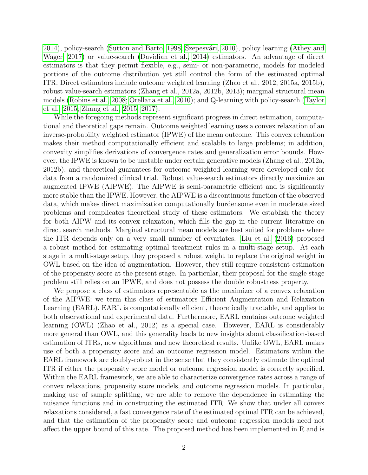[2014\)](#page-18-7), policy-search [\(Sutton and Barto, 1998;](#page-19-3) Szepesvári, 2010), policy learning [\(Athey and](#page-17-2) [Wager, 2017\)](#page-17-2) or value-search [\(Davidian et al., 2014\)](#page-17-3) estimators. An advantage of direct estimators is that they permit flexible, e.g., semi- or non-parametric, models for modeled portions of the outcome distribution yet still control the form of the estimated optimal ITR. Direct estimators include outcome weighted learning (Zhao et al., 2012, 2015a, 2015b), robust value-search estimators (Zhang et al., 2012a, 2012b, 2013); marginal structural mean models [\(Robins et al., 2008;](#page-19-5) [Orellana et al., 2010\)](#page-18-8); and Q-learning with policy-search [\(Taylor](#page-19-6) [et al., 2015;](#page-19-6) [Zhang et al., 2015,](#page-20-1) [2017\)](#page-20-2).

While the foregoing methods represent significant progress in direct estimation, computational and theoretical gaps remain. Outcome weighted learning uses a convex relaxation of an inverse-probability weighted estimator (IPWE) of the mean outcome. This convex relaxation makes their method computationally efficient and scalable to large problems; in addition, convexity simplifies derivations of convergence rates and generalization error bounds. However, the IPWE is known to be unstable under certain generative models (Zhang et al., 2012a, 2012b), and theoretical guarantees for outcome weighted learning were developed only for data from a randomized clinical trial. Robust value-search estimators directly maximize an augmented IPWE (AIPWE). The AIPWE is semi-parametric efficient and is significantly more stable than the IPWE. However, the AIPWE is a discontinuous function of the observed data, which makes direct maximization computationally burdensome even in moderate sized problems and complicates theoretical study of these estimators. We establish the theory for both AIPW and its convex relaxation, which fills the gap in the current literature on direct search methods. Marginal structural mean models are best suited for problems where the ITR depends only on a very small number of covariates. [Liu et al.](#page-18-9) [\(2016\)](#page-18-9) proposed a robust method for estimating optimal treatment rules in a multi-stage setup. At each stage in a multi-stage setup, they proposed a robust weight to replace the original weight in OWL based on the idea of augmentation. However, they still require consistent estimation of the propensity score at the present stage. In particular, their proposal for the single stage problem still relies on an IPWE, and does not possess the double robustness property.

We propose a class of estimators representable as the maximizer of a convex relaxation of the AIPWE; we term this class of estimators Efficient Augmentation and Relaxation Learning (EARL). EARL is computationally efficient, theoretically tractable, and applies to both observational and experimental data. Furthermore, EARL contains outcome weighted learning (OWL) (Zhao et al., 2012) as a special case. However, EARL is considerably more general than OWL, and this generality leads to new insights about classification-based estimation of ITRs, new algorithms, and new theoretical results. Unlike OWL, EARL makes use of both a propensity score and an outcome regression model. Estimators within the EARL framework are doubly-robust in the sense that they consistently estimate the optimal ITR if either the propensity score model or outcome regression model is correctly specified. Within the EARL framework, we are able to characterize convergence rates across a range of convex relaxations, propensity score models, and outcome regression models. In particular, making use of sample splitting, we are able to remove the dependence in estimating the nuisance functions and in constructing the estimated ITR. We show that under all convex relaxations considered, a fast convergence rate of the estimated optimal ITR can be achieved, and that the estimation of the propensity score and outcome regression models need not affect the upper bound of this rate. The proposed method has been implemented in R and is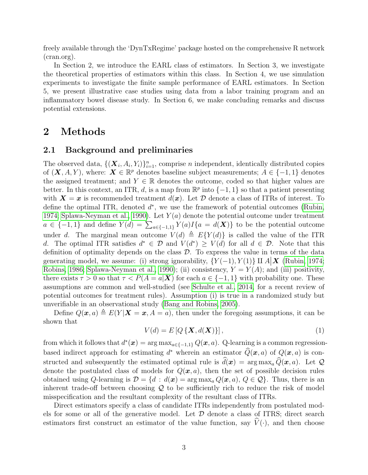freely available through the 'DynTxRegime' package hosted on the comprehensive R network (cran.org).

In Section 2, we introduce the EARL class of estimators. In Section 3, we investigate the theoretical properties of estimators within this class. In Section 4, we use simulation experiments to investigate the finite sample performance of EARL estimators. In Section 5, we present illustrative case studies using data from a labor training program and an inflammatory bowel disease study. In Section 6, we make concluding remarks and discuss potential extensions.

## 2 Methods

#### 2.1 Background and preliminaries

The observed data,  $\{(\boldsymbol{X}_i, A_i, Y_i)\}_{i=1}^n$ , comprise n independent, identically distributed copies of  $(X, A, Y)$ , where:  $X \in \mathbb{R}^p$  denotes baseline subject measurements;  $A \in \{-1, 1\}$  denotes the assigned treatment; and  $Y \in \mathbb{R}$  denotes the outcome, coded so that higher values are better. In this context, an ITR, d, is a map from  $\mathbb{R}^p$  into  $\{-1,1\}$  so that a patient presenting with  $\mathbf{X} = \mathbf{x}$  is recommended treatment  $d(\mathbf{x})$ . Let  $\mathcal{D}$  denote a class of ITRs of interest. To define the optimal ITR, denoted  $d^*$ , we use the framework of potential outcomes [\(Rubin,](#page-19-7) [1974;](#page-19-7) [Splawa-Neyman et al., 1990\)](#page-19-8). Let  $Y(a)$  denote the potential outcome under treatment  $a \in \{-1,1\}$  and define  $Y(d) = \sum_{a \in \{-1,1\}} Y(a)I\{a = d(\boldsymbol{X})\}$  to be the potential outcome under d. The marginal mean outcome  $V(d) \triangleq E\{Y(d)\}\$ is called the value of the ITR d. The optimal ITR satisfies  $d^* \in \mathcal{D}$  and  $V(d^*) \geq V(d)$  for all  $d \in \mathcal{D}$ . Note that this definition of optimality depends on the class  $\mathcal{D}$ . To express the value in terms of the data generating model, we assume: (i) strong ignorability,  $\{Y(-1), Y(1)\} \amalg A \mid \mathbf{X}$  [\(Rubin, 1974;](#page-19-7) [Robins, 1986;](#page-18-10) [Splawa-Neyman et al., 1990\)](#page-19-8); (ii) consistency,  $Y = Y(A)$ ; and (iii) positivity, there exists  $\tau > 0$  so that  $\tau < P(A = a|\mathbf{X})$  for each  $a \in \{-1,1\}$  with probability one. These assumptions are common and well-studied (see [Schulte et al., 2014,](#page-19-2) for a recent review of potential outcomes for treatment rules). Assumption (i) is true in a randomized study but unverifiable in an observational study [\(Bang and Robins, 2005\)](#page-17-4).

Define  $Q(\mathbf{x}, a) \triangleq E(Y | \mathbf{X} = \mathbf{x}, A = a)$ , then under the foregoing assumptions, it can be shown that

<span id="page-4-0"></span>
$$
V(d) = E\left[Q\left\{\mathbf{X}, d(\mathbf{X})\right\}\right],\tag{1}
$$

from which it follows that  $d^*(x) = \arg \max_{a \in \{-1,1\}} Q(x,a)$ . Q-learning is a common regressionbased indirect approach for estimating d<sup>\*</sup> wherein an estimator  $\hat{Q}(\bm{x}, a)$  of  $Q(\bm{x}, a)$  is constructed and subsequently the estimated optimal rule is  $\hat{d}(\bm{x}) = \arg \max_a \hat{Q}(\bm{x}, a)$ . Let  $\mathcal{Q}$ denote the postulated class of models for  $Q(x, a)$ , then the set of possible decision rules obtained using Q-learning is  $\mathcal{D} = \{d : d(\mathbf{x}) = \arg \max_a Q(\mathbf{x}, a), Q \in \mathcal{Q}\}\)$ . Thus, there is an inherent trade-off between choosing  $\mathcal Q$  to be sufficiently rich to reduce the risk of model misspecification and the resultant complexity of the resultant class of ITRs.

Direct estimators specify a class of candidate ITRs independently from postulated models for some or all of the generative model. Let  $D$  denote a class of ITRS; direct search estimators first construct an estimator of the value function, say  $\hat{V}(\cdot)$ , and then choose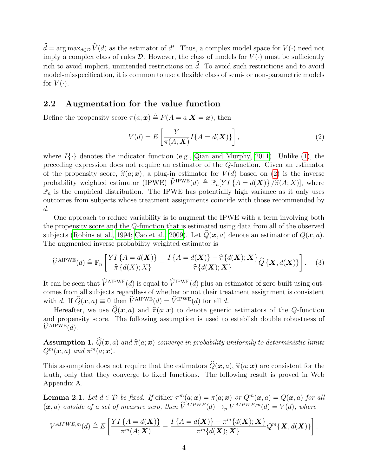$d = \arg \max_{d \in \mathcal{D}} \hat{V}(d)$  as the estimator of  $d^*$ . Thus, a complex model space for  $V(\cdot)$  need not imply a complex class of rules  $\mathcal D$ . However, the class of models for  $V(\cdot)$  must be sufficiently rich to avoid implicit, unintended restrictions on  $\hat{d}$ . To avoid such restrictions and to avoid model-misspecification, it is common to use a flexible class of semi- or non-parametric models for  $V(\cdot)$ .

#### 2.2 Augmentation for the value function

Define the propensity score  $\pi(a; x) \triangleq P(A = a | \mathbf{X} = x)$ , then

<span id="page-5-0"></span>
$$
V(d) = E\left[\frac{Y}{\pi(A; \mathbf{X})} I\{A = d(\mathbf{X})\}\right],\tag{2}
$$

where  $I\{\cdot\}$  denotes the indicator function (e.g., [Qian and Murphy, 2011\)](#page-18-4). Unlike [\(1\)](#page-4-0), the preceding expression does not require an estimator of the Q-function. Given an estimator of the propensity score,  $\hat{\pi}(a; x)$ , a plug-in estimator for  $V(d)$  based on [\(2\)](#page-5-0) is the inverse probability weighted estimator (IPWE)  $\hat{V}^{\text{IPWE}}(d) \triangleq \mathbb{P}_n[Y I \{A = d(\boldsymbol{X})\} / \hat{\pi}(A; X)],$  where  $\mathbb{P}_n$  is the empirical distribution. The IPWE has potentially high variance as it only uses outcomes from subjects whose treatment assignments coincide with those recommended by d.

One approach to reduce variability is to augment the IPWE with a term involving both the propensity score and the Q-function that is estimated using data from all of the observed subjects [\(Robins et al., 1994;](#page-19-9) [Cao et al., 2009\)](#page-17-5). Let  $\hat{Q}(\bm{x}, a)$  denote an estimator of  $Q(\bm{x}, a)$ . The augmented inverse probability weighted estimator is

$$
\widehat{V}^{\text{AIPWE}}(d) \triangleq \mathbb{P}_n \left[ \frac{YI\left\{A = d(\boldsymbol{X})\right\}}{\widehat{\pi} \left\{d(X); X\right\}} - \frac{I\left\{A = d(\boldsymbol{X})\right\} - \widehat{\pi} \left\{d(\boldsymbol{X}); \boldsymbol{X}\right\}}{\widehat{\pi} \left\{d(\boldsymbol{X}); \boldsymbol{X}\right\}} \widehat{Q} \left\{ \boldsymbol{X}, d(\boldsymbol{X})\right\} \right].
$$
 (3)

It can be seen that  $\widehat{V}^{\text{AIPWE}}(d)$  is equal to  $\widehat{V}^{\text{IPWE}}(d)$  plus an estimator of zero built using outcomes from all subjects regardless of whether or not their treatment assignment is consistent with d. If  $\widehat{Q}(\mathbf{x}, a) \equiv 0$  then  $\widehat{V}^{\text{AIPWE}}(d) = \widehat{V}^{\text{IPWE}}(d)$  for all d.

Hereafter, we use  $\hat{Q}(\bm{x}, a)$  and  $\hat{\pi}(a; \bm{x})$  to denote generic estimators of the Q-function and propensity score. The following assumption is used to establish double robustness of  $\widehat{V}^{\rm AIPWE}(d)$ .

**Assumption 1.**  $\widehat{Q}(\boldsymbol{x}, a)$  and  $\widehat{\pi}(a; \boldsymbol{x})$  converge in probability uniformly to deterministic limits  $Q^m(\boldsymbol{x}, a)$  and  $\pi^m(a; \boldsymbol{x})$ .

This assumption does not require that the estimators  $\widehat{Q}(\bm{x}, a)$ ,  $\widehat{\pi}(a; \bm{x})$  are consistent for the truth, only that they converge to fixed functions. The following result is proved in Web Appendix A.

**Lemma 2.1.** Let  $d \in \mathcal{D}$  be fixed. If either  $\pi^m(a; \mathbf{x}) = \pi(a; \mathbf{x})$  or  $Q^m(\mathbf{x}, a) = Q(\mathbf{x}, a)$  for all  $(x, a)$  outside of a set of measure zero, then  $\hat{V}^{AIPWE}(d) \rightarrow_p V^{AIPWE,m}(d) = V(d)$ , where

$$
V^{AIPWE,m}(d) \triangleq E\left[\frac{YI\left\{A = d(\boldsymbol{X})\right\}}{\pi^m(A; \boldsymbol{X})} - \frac{I\left\{A = d(\boldsymbol{X})\right\} - \pi^m\{d(\boldsymbol{X}); \boldsymbol{X}\}}{\pi^m\{d(\boldsymbol{X}); \boldsymbol{X}\}} Q^m\{\boldsymbol{X}, d(\boldsymbol{X})\}\right].
$$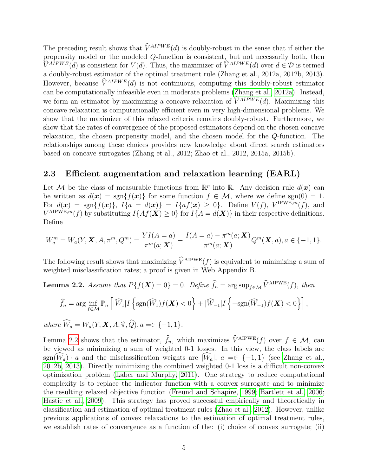The preceding result shows that  $\hat{V}^{AIPWE}(d)$  is doubly-robust in the sense that if either the propensity model or the modeled Q-function is consistent, but not necessarily both, then  $\widehat{V}^{AIPWE}(d)$  is consistent for  $V(d)$ . Thus, the maximizer of  $\widehat{V}^{AIPWE}(d)$  over  $d \in \mathcal{D}$  is termed a doubly-robust estimator of the optimal treatment rule (Zhang et al., 2012a, 2012b, 2013). However, because  $\hat{V}^{AIPWE}(d)$  is not continuous, computing this doubly-robust estimator can be computationally infeasible even in moderate problems [\(Zhang et al., 2012a\)](#page-19-10). Instead, we form an estimator by maximizing a concave relaxation of  $\widehat{V}^{AIPWE}(d)$ . Maximizing this concave relaxation is computationally efficient even in very high-dimensional problems. We show that the maximizer of this relaxed criteria remains doubly-robust. Furthermore, we show that the rates of convergence of the proposed estimators depend on the chosen concave relaxation, the chosen propensity model, and the chosen model for the Q-function. The relationships among these choices provides new knowledge about direct search estimators based on concave surrogates (Zhang et al., 2012; Zhao et al., 2012, 2015a, 2015b).

#### 2.3 Efficient augmentation and relaxation learning (EARL)

Let M be the class of measurable functions from  $\mathbb{R}^p$  into  $\mathbb{R}$ . Any decision rule  $d(\boldsymbol{x})$  can be written as  $d(\mathbf{x}) = \text{sgn}\{f(\mathbf{x})\}$  for some function  $f \in \mathcal{M}$ , where we define sgn(0) = 1. For  $d(\boldsymbol{x}) = \text{sgn}\{f(\boldsymbol{x})\},\ I\{a = d(\boldsymbol{x})\} = I\{af(\boldsymbol{x}) \geq 0\}.$  Define  $V(f)$ ,  $V^{\text{IPWE},m}(f)$ , and  $V^{\text{AIPWE},m}(f)$  by substituting  $I\{Af(\boldsymbol{X})\geq 0\}$  for  $I\{A=d(\boldsymbol{X})\}$  in their respective definitions. Define

$$
W_a^m = W_a(Y, \mathbf{X}, A, \pi^m, Q^m) = \frac{YI(A = a)}{\pi^m(a; \mathbf{X})} - \frac{I(A = a) - \pi^m(a; \mathbf{X})}{\pi^m(a; \mathbf{X})} Q^m(\mathbf{X}, a), a \in \{-1, 1\}.
$$

The following result shows that maximizing  $\widehat{V}^{\text{AIPWE}}(f)$  is equivalent to minimizing a sum of weighted misclassification rates; a proof is given in Web Appendix B.

<span id="page-6-0"></span>**Lemma 2.2.** Assume that 
$$
P\{f(\mathbf{X}) = 0\} = 0
$$
. Define  $\hat{f}_n = \arg \sup_{f \in \mathcal{M}} \hat{V}^{\text{AIPWE}}(f)$ , then  

$$
\hat{f}_n = \arg \inf_{f \in \mathcal{M}} \mathbb{P}_n \left[ |\widehat{W}_1| I \left\{ \text{sgn}(\widehat{W}_1) f(\mathbf{X}) < 0 \right\} + |\widehat{W}_{-1}| I \left\{ -\text{sgn}(\widehat{W}_{-1}) f(\mathbf{X}) < 0 \right\} \right],
$$

where  $\widehat{W}_a = W_a(Y, \mathbf{X}, A, \widehat{\pi}, \widehat{Q}), a = \in \{-1, 1\}.$ 

Lemma [2.2](#page-6-0) shows that the estimator,  $\hat{f}_n$ , which maximizes  $\hat{V}^{\text{AIPWE}}(f)$  over  $f \in \mathcal{M}$ , can be viewed as minimizing a sum of weighted 0-1 losses. In this view, the class labels are sgn( $\widehat{W}_a$ ) · a and the misclassification weights are  $|\widehat{W}_a|$ ,  $a \equiv \in \{-1,1\}$  (see [Zhang et al.,](#page-20-3) [2012b,](#page-20-3) [2013\)](#page-20-4). Directly minimizing the combined weighted 0-1 loss is a difficult non-convex optimization problem [\(Laber and Murphy, 2011\)](#page-18-11). One strategy to reduce computational complexity is to replace the indicator function with a convex surrogate and to minimize the resulting relaxed objective function [\(Freund and Schapire, 1999;](#page-17-6) [Bartlett et al., 2006;](#page-17-7) [Hastie et al., 2009\)](#page-17-8). This strategy has proved successful empirically and theoretically in classification and estimation of optimal treatment rules [\(Zhao et al., 2012\)](#page-20-5). However, unlike previous applications of convex relaxations to the estimation of optimal treatment rules, we establish rates of convergence as a function of the: (i) choice of convex surrogate; (ii)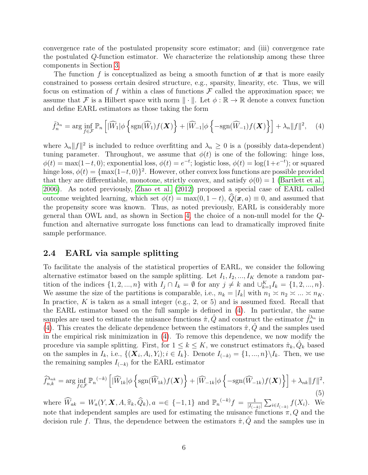convergence rate of the postulated propensity score estimator; and (iii) convergence rate the postulated Q-function estimator. We characterize the relationship among these three components in Section [3.](#page-8-0)

The function f is conceptualized as being a smooth function of  $x$  that is more easily constrained to possess certain desired structure, e.g., sparsity, linearity, etc. Thus, we will focus on estimation of f within a class of functions  $\mathcal F$  called the approximation space; we assume that F is a Hilbert space with norm  $\|\cdot\|$ . Let  $\phi : \mathbb{R} \to \mathbb{R}$  denote a convex function and define EARL estimators as those taking the form

<span id="page-7-0"></span>
$$
\tilde{f}_n^{\lambda_n} = \arg\inf_{f \in \mathcal{F}} \mathbb{P}_n \left[ |\widehat{W}_1| \phi \left\{ \operatorname{sgn}(\widehat{W}_1) f(\boldsymbol{X}) \right\} + |\widehat{W}_{-1}| \phi \left\{ - \operatorname{sgn}(\widehat{W}_{-1}) f(\boldsymbol{X}) \right\} \right] + \lambda_n \|f\|^2, \quad (4)
$$

where  $\lambda_n ||f||^2$  is included to reduce overfitting and  $\lambda_n \geq 0$  is a (possibly data-dependent) tuning parameter. Throughout, we assume that  $\phi(t)$  is one of the following: hinge loss,  $\phi(t) = \max(1-t, 0)$ ; exponential loss,  $\phi(t) = e^{-t}$ ; logistic loss,  $\phi(t) = \log(1+e^{-t})$ ; or squared hinge loss,  $\phi(t) = \{\max(1-t, 0)\}^2$ . However, other convex loss functions are possible provided that they are differentiable, monotone, strictly convex, and satisfy  $\phi(0) = 1$  [\(Bartlett et al.,](#page-17-7) [2006\)](#page-17-7). As noted previously, [Zhao et al.](#page-20-5) [\(2012\)](#page-20-5) proposed a special case of EARL called outcome weighted learning, which set  $\phi(t) = \max(0, 1-t)$ ,  $\widehat{Q}(\mathbf{x}, a) \equiv 0$ , and assumed that the propensity score was known. Thus, as noted previously, EARL is considerably more general than OWL and, as shown in Section [4,](#page-12-0) the choice of a non-null model for the Qfunction and alternative surrogate loss functions can lead to dramatically improved finite sample performance.

#### 2.4 EARL via sample splitting

To facilitate the analysis of the statistical properties of EARL, we consider the following alternative estimator based on the sample splitting. Let  $I_1, I_2, ..., I_K$  denote a random partition of the indices  $\{1, 2, ..., n\}$  with  $I_j \cap I_k = \emptyset$  for any  $j \neq k$  and  $\cup_{k=1}^K I_k = \{1, 2, ..., n\}$ . We assume the size of the partitions is comparable, i.e.,  $n_k = |I_k|$  with  $n_1 \approx n_2 \approx ... \approx n_K$ . In practice, K is taken as a small integer (e.g., 2, or 5) and is assumed fixed. Recall that the EARL estimator based on the full sample is defined in [\(4\)](#page-7-0). In particular, the same samples are used to estimate the nuisance functions  $\hat{\pi}, \hat{Q}$  and construct the estimator  $\tilde{f}_n^{\lambda_n}$  in [\(4\)](#page-7-0). This creates the delicate dependence between the estimators  $\hat{\pi}, \hat{Q}$  and the samples used in the empirical risk minimization in [\(4\)](#page-7-0). To remove this dependence, we now modify the procedure via sample splitting. First, for  $1 \leq k \leq K$ , we construct estimators  $\hat{\pi}_k, \hat{Q}_k$  based on the samples in  $I_k$ , i.e.,  $\{(\boldsymbol{X}_i, A_i, Y_i); i \in I_k\}$ . Denote  $I_{(-k)} = \{1, ..., n\} \backslash I_k$ . Then, we use the remaining samples  $I_{(-k)}$  for the EARL estimator

$$
\widehat{f}_{n,k}^{\lambda_{nk}} = \arg\inf_{f \in \mathcal{F}} \mathbb{P}_n^{(-k)} \left[ |\widehat{W}_{1k}| \phi \left\{ \operatorname{sgn}(\widehat{W}_{1k}) f(\boldsymbol{X}) \right\} + |\widehat{W}_{-1k}| \phi \left\{ - \operatorname{sgn}(\widehat{W}_{-1k}) f(\boldsymbol{X}) \right\} \right] + \lambda_{nk} \|f\|^2,
$$
\n(5)

where  $\widehat{W}_{ak} = W_a(Y, \mathbf{X}, A, \widehat{\pi}_k, \widehat{Q}_k), a =\in \{-1, 1\}$  and  $\mathbb{P}_n^{(-k)} f = \frac{1}{|I_{(-k)|}}$  $\frac{1}{|I_{(-k)}|} \sum_{i \in I_{(-k)}} f(X_i)$ . We note that independent samples are used for estimating the nuisance functions  $\pi, Q$  and the decision rule f. Thus, the dependence between the estimators  $\hat{\pi}, \hat{Q}$  and the samples use in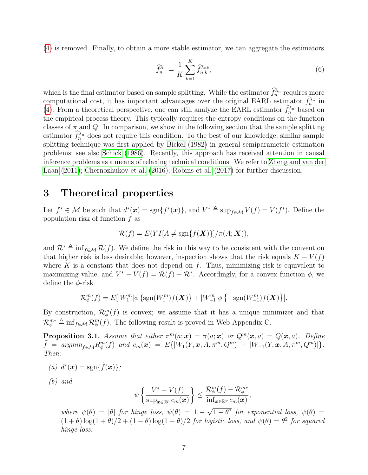[\(4\)](#page-7-0) is removed. Finally, to obtain a more stable estimator, we can aggregate the estimators

$$
\widehat{f}_n^{\lambda_n} = \frac{1}{K} \sum_{k=1}^K \widehat{f}_{n,k}^{\lambda_{nk}},\tag{6}
$$

which is the final estimator based on sample splitting. While the estimator  $f_n^{\lambda_n}$  requires more computational cost, it has important advantages over the original EARL estimator  $\tilde{f}_n^{\lambda_n}$  in [\(4\)](#page-7-0). From a theoretical perspective, one can still analyze the EARL estimator  $\tilde{f}_n^{\lambda_n}$  based on the empirical process theory. This typically requires the entropy conditions on the function classes of  $\pi$  and Q. In comparison, we show in the following section that the sample splitting estimator  $f_n^{\lambda_n}$  does not require this condition. To the best of our knowledge, similar sample splitting technique was first applied by [Bickel](#page-17-9) [\(1982\)](#page-17-9) in general semiparametric estimation problems; see also [Schick](#page-19-11) [\(1986\)](#page-19-11). Recently, this approach has received attention in causal inference problems as a means of relaxing technical conditions. We refer to [Zheng and van der](#page-20-6) [Laan](#page-20-6) [\(2011\)](#page-20-6); [Chernozhukov et al.](#page-17-10) [\(2016\)](#page-17-10); [Robins et al.](#page-19-12) [\(2017\)](#page-19-12) for further discussion.

## <span id="page-8-0"></span>3 Theoretical properties

Let  $f^* \in \mathcal{M}$  be such that  $d^*(\mathbf{x}) = \text{sgn}\{f^*(\mathbf{x})\}$ , and  $V^* \triangleq \text{sup}_{f \in \mathcal{M}} V(f) = V(f^*)$ . Define the population risk of function f as

$$
\mathcal{R}(f) = E(YI[A \neq \text{sgn}\{f(\boldsymbol{X})\}]/\pi(A; \boldsymbol{X})),
$$

and  $\mathcal{R}^* \triangleq \inf_{f \in \mathcal{M}} \mathcal{R}(f)$ . We define the risk in this way to be consistent with the convention that higher risk is less desirable; however, inspection shows that the risk equals  $K - V(f)$ where K is a constant that does not depend on  $f$ . Thus, minimizing risk is equivalent to maximizing value, and  $V^* - V(f) = \mathcal{R}(f) - \mathcal{R}^*$ . Accordingly, for a convex function  $\phi$ , we define the  $\phi$ -risk

$$
\mathcal{R}_{\phi}^{m}(f) = E[|W_{1}^{m}|\phi\left\{\text{sgn}(W_{1}^{m})f(\mathbf{X})\right\} + |W_{-1}^{m}|\phi\left\{\text{-sgn}(W_{-1}^{m})f(\mathbf{X})\right\}].
$$

By construction,  $\mathcal{R}_{\phi}^{m}(f)$  is convex; we assume that it has a unique minimizer and that  $\mathcal{R}_{\phi}^{m*} \triangleq \inf_{f \in \mathcal{M}} \mathcal{R}_{\phi}^{m}(f)$ . The following result is proved in Web Appendix C.

**Proposition 3.1.** Assume that either  $\pi^m(a; \mathbf{x}) = \pi(a; \mathbf{x})$  or  $Q^m(\mathbf{x}, a) = Q(\mathbf{x}, a)$ . Define  $\tilde{f} \;=\; argmin_{f \in \mathcal{M}} R_\phi^m(f) \;\; and \;\, c_m(\bm{x}) \;=\; E\{|W_1(Y,\bm{x},A,\pi^m,Q^m)| \;+\; |W_{-1}(Y,\bm{x},A,\pi^m,Q^m)|\}.$ Then:

(a)  $d^*(\boldsymbol{x}) = \text{sgn}\{\tilde{f}(\boldsymbol{x})\};$ 

(b) and

$$
\psi\left\{\frac{V^*-V(f)}{\sup_{\boldsymbol{x}\in\mathbb{R}^p}c_m(\boldsymbol{x})}\right\}\leq \frac{\mathcal{R}_\phi^m(f)-\mathcal{R}_\phi^{m*}}{\inf_{\boldsymbol{x}\in\mathbb{R}^p}c_m(\boldsymbol{x})},
$$

where  $\psi(\theta) = |\theta|$  for hinge loss,  $\psi(\theta) = 1 - \pi$  $1 - \theta^2$  for exponential loss,  $\psi(\theta) =$  $(1+\theta)\log(1+\theta)/2 + (1-\theta)\log(1-\theta)/2$  for logistic loss, and  $\psi(\theta) = \theta^2$  for squared hinge loss.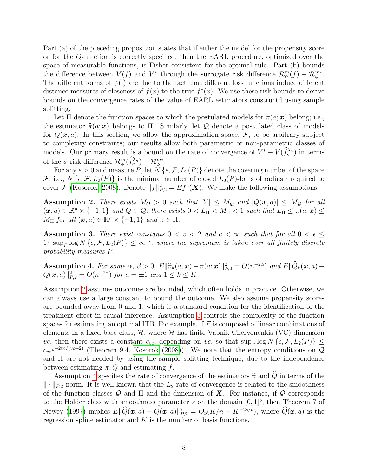Part (a) of the preceding proposition states that if either the model for the propensity score or for the Q-function is correctly specified, then the EARL procedure, optimized over the space of measurable functions, is Fisher consistent for the optimal rule. Part (b) bounds the difference between  $V(f)$  and  $V^*$  through the surrogate risk difference  $\mathcal{R}_{\phi}^m(f) - \mathcal{R}_{\phi}^{m*}$ . The different forms of  $\psi(\cdot)$  are due to the fact that different loss functions induce different distance measures of closeness of  $f(x)$  to the true  $f^*(x)$ . We use these risk bounds to derive bounds on the convergence rates of the value of EARL estimators constructd using sample splitting.

Let  $\Pi$  denote the function spaces to which the postulated models for  $\pi(a; \mathbf{x})$  belong; i.e., the estimator  $\hat{\pi}(a; x)$  belongs to Π. Similarly, let Q denote a postulated class of models for  $Q(x, a)$ . In this section, we allow the approximation space, F, to be arbitrary subject to complexity constraints; our results allow both parametric or non-parametric classes of models. Our primary result is a bound on the rate of convergence of  $V^* - V(f_n^{\lambda_n})$  in terms of the  $\phi$ -risk difference  $\mathcal{R}_{\phi}^{m}(\hat{f}_{n}^{\lambda_{n}}) - \mathcal{R}_{\phi}^{m*}$ .

For any  $\epsilon > 0$  and measure P, let  $N \{\epsilon, \mathcal{F}, L_2(P)\}\$  denote the covering number of the space  $\mathcal{F}$ , i.e.,  $N\{\epsilon, \mathcal{F}, L_2(P)\}\$ is the minimal number of closed  $L_2(P)$ -balls of radius  $\epsilon$  required to cover F [\(Kosorok, 2008\)](#page-18-12). Denote  $||f||_{P,2}^2 = Ef^2(\mathbf{X})$ . We make the following assumptions.

<span id="page-9-0"></span>Assumption 2. There exists  $M_Q > 0$  such that  $|Y| \leq M_Q$  and  $|Q(x, a)| \leq M_Q$  for all  $(x, a) \in \mathbb{R}^p \times \{-1, 1\}$  and  $Q \in \mathcal{Q}$ ; there exists  $0 < L_{\Pi} < M_{\Pi} < 1$  such that  $L_{\Pi} \leq \pi(a; \mathbf{x}) \leq$  $M_{\Pi}$  for all  $(\boldsymbol{x}, a) \in \mathbb{R}^p \times \{-1, 1\}$  and  $\pi \in \Pi$ .

<span id="page-9-1"></span>Assumption 3. There exist constants  $0 < v < 2$  and  $c < \infty$  such that for all  $0 < \epsilon \le$ 1:  $\sup_P \log N\left\{\epsilon, \mathcal{F}, L_2(P)\right\} \leq c\epsilon^{-v}$ , where the supremum is taken over all finitely discrete probability measures P.

<span id="page-9-2"></span>Assumption 4. For some  $\alpha$ ,  $\beta > 0$ ,  $E\|\hat{\pi}_k(a; \bm{x}) - \pi(a; \bm{x})\|_{P,2}^2 = O(n^{-2\alpha})$  and  $E\|\widehat{Q}_k(\bm{x}, a) - O(\bm{x}, a)\|^2 = O(n^{-2\beta})$  for  $a = \pm 1$  and  $1 \leq k \leq K$  $Q(\boldsymbol{x}, a) \|_{P,2}^2 = O(n^{-2\beta})$  for  $a = \pm 1$  and  $1 \le k \le K$ .

Assumption [2](#page-9-0) assumes outcomes are bounded, which often holds in practice. Otherwise, we can always use a large constant to bound the outcome. We also assume propensity scores are bounded away from 0 and 1, which is a standard condition for the identification of the treatment effect in causal inference. Assumption [3](#page-9-1) controls the complexity of the function spaces for estimating an optimal ITR. For example, if  $\mathcal F$  is composed of linear combinations of elements in a fixed base class,  $H$ , where  $H$  has finite Vapnik-Chervonenkis (VC) dimension vc, then there exists a constant  $c_{vc}$ , depending on vc, so that  $\sup_P \log N \{\epsilon, \mathcal{F}, L_2(P)\} \leq$  $c_{ve} \epsilon^{-2vc/(vc+2)}$  (Theorem 9.4, [Kosorok](#page-18-12) [\(2008\)](#page-18-12)). We note that the entropy conditions on  $\mathcal{Q}$ and Π are not needed by using the sample splitting technique, due to the independence between estimating  $\pi, Q$  and estimating f.

Assumption [4](#page-9-2) specifies the rate of convergence of the estimators  $\hat{\pi}$  and  $\hat{Q}$  in terms of the  $\|\cdot\|_{P,2}$  norm. It is well known that the  $L_2$  rate of convergence is related to the smoothness of the function classes  $\mathcal Q$  and  $\Pi$  and the dimension of  $\mathbf X$ . For instance, if  $\mathcal Q$  corresponds to the Holder class with smoothness parameter s on the domain  $[0, 1]^p$ , then Theorem 7 of [Newey](#page-18-13) [\(1997\)](#page-18-13) implies  $E\|\hat{Q}(\bm{x}, a) - Q(\bm{x}, a)\|_{P,2}^2 = O_p(K/n + K^{-2s/p})$ , where  $\hat{Q}(\bm{x}, a)$  is the regression spline estimator and  $K$  is the number of basis functions.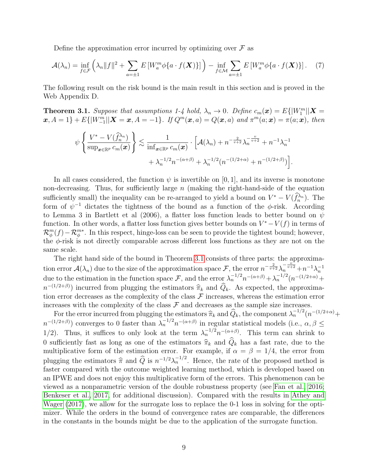Define the approximation error incurred by optimizing over  $\mathcal F$  as

$$
\mathcal{A}(\lambda_n) = \inf_{f \in \mathcal{F}} \left( \lambda_n \|f\|^2 + \sum_{a=\pm 1} E\left[W_a^m \phi\{a \cdot f(\boldsymbol{X})\}\right] \right) - \inf_{f \in \mathcal{M}} \sum_{a=\pm 1} E\left[W_a^m \phi\{a \cdot f(\boldsymbol{X})\}\right]. \tag{7}
$$

The following result on the risk bound is the main result in this section and is proved in the Web Appendix D.

<span id="page-10-0"></span>**Theorem 3.1.** Suppose that assumptions 1-4 hold,  $\lambda_n \to 0$ . Define  $c_m(\boldsymbol{x}) = E\{ |W_1^m||\boldsymbol{X} =$  $\{x, A = 1\} + E\{|W_{-1}^m||\bm{X} = x, A = -1\}$ . If  $Q^m(\bm{x}, a) = Q(\bm{x}, a)$  and  $\pi^m(a; \bm{x}) = \pi(a; \bm{x})$ , then

$$
\psi\left\{\frac{V^*-V(\widehat{f}_n^{\lambda_n})}{\sup_{\boldsymbol{x}\in\mathbb{R}^p}c_m(\boldsymbol{x})}\right\}\lesssim \frac{1}{\inf_{\boldsymbol{x}\in\mathbb{R}^p}c_m(\boldsymbol{x})}\cdot\Big[\mathcal{A}(\lambda_n)+n^{-\frac{2}{v+2}}\lambda_n^{-\frac{v}{v+2}}+n^{-1}\lambda_n^{-1}\n+ \lambda_n^{-1/2}n^{-(\alpha+\beta)}+\lambda_n^{-1/2}(n^{-(1/2+\alpha)}+n^{-(1/2+\beta)})\Big].
$$

In all cases considered, the function  $\psi$  is invertible on [0, 1], and its inverse is monotone non-decreasing. Thus, for sufficiently large  $n$  (making the right-hand-side of the equation sufficiently small) the inequality can be re-arranged to yield a bound on  $V^* - V(f_n^{\lambda_n})$ . The form of  $\psi^{-1}$  dictates the tightness of the bound as a function of the  $\phi$ -risk. According to Lemma 3 in Bartlett et al (2006), a flatter loss function leads to better bound on  $\psi$ function. In other words, a flatter loss function gives better bounds on  $V^* - V(f)$  in terms of  $\mathcal{R}_{\phi}^m(f)-\mathcal{R}_{\phi}^{m*}$ . In this respect, hinge-loss can be seen to provide the tightest bound; however, the φ-risk is not directly comparable across different loss functions as they are not on the same scale.

The right hand side of the bound in Theorem [3.1](#page-10-0) consists of three parts: the approximation error  $\mathcal{A}(\lambda_n)$  due to the size of the approximation space F, the error  $n^{-\frac{2}{v+2}}\lambda_n^{-\frac{v+1}{v+2}}+n^{-1}\lambda_n^{-1}$ due to the estimation in the function space F, and the error  $\lambda_n^{-1/2} n^{-(\alpha+\beta)} + \lambda_n^{-1/2} (n^{-(1/2+\alpha)} +$  $n^{-(1/2+\beta)}$  incurred from plugging the estimators  $\hat{\pi}_k$  and  $\hat{Q}_k$ . As expected, the approxima-<br>tion error decreases as the complexity of the class.  $\mathcal{F}$  increases, whereas the estimation error tion error decreases as the complexity of the class  $\mathcal F$  increases, whereas the estimation error increases with the complexity of the class  $\mathcal F$  and decreases as the sample size increases.

For the error incurred from plugging the estimators  $\hat{\pi}_k$  and  $\hat{Q}_k$ , the component  $\lambda_n^{-1/2}(n^{-(1/2+\alpha)}+1/2+\beta)$  $n^{-(1/2+\beta)}$  converges to 0 faster than  $\lambda_n^{-1/2}n^{-(\alpha+\beta)}$  in regular statistical models (i.e.,  $\alpha, \beta \leq$ 1/2). Thus, it suffices to only look at the term  $\lambda_n^{-1/2} n^{-(\alpha+\beta)}$ . This term can shrink to 0 sufficiently fast as long as one of the estimators  $\hat{\pi}_k$  and  $\hat{Q}_k$  has a fast rate, due to the multiplicative form of the estimation error. For example, if  $\alpha = \beta = 1/4$ , the error from plugging the estimators  $\hat{\pi}$  and  $\hat{Q}$  is  $n^{-1/2}\lambda_n^{-1/2}$ . Hence, the rate of the proposed method is<br>factor compared with the outcome weighted learning method, which is developed based on faster compared with the outcome weighted learning method, which is developed based on an IPWE and does not enjoy this multiplicative form of the errors. This phenomenon can be viewed as a nonparametric version of the double robustness property (see [Fan et al., 2016;](#page-17-11) [Benkeser et al., 2017,](#page-17-12) for additional discussion). Compared with the results in [Athey and](#page-17-2) [Wager](#page-17-2) [\(2017\)](#page-17-2), we allow for the surrogate loss to replace the 0-1 loss in solving for the optimizer. While the orders in the bound of convergence rates are comparable, the differences in the constants in the bounds might be due to the application of the surrogate function.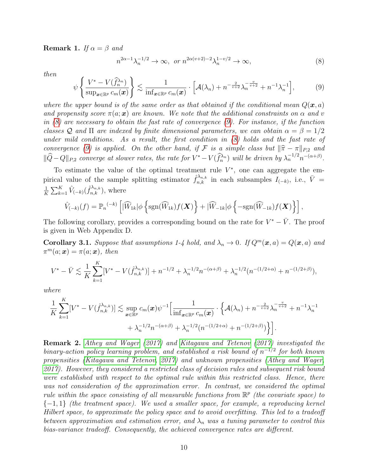**Remark 1.** If  $\alpha = \beta$  and

<span id="page-11-0"></span>
$$
n^{2\alpha-1}\lambda_n^{-1/2} \to \infty, \text{ or } n^{2\alpha(v+2)-2}\lambda_n^{1-v/2} \to \infty,
$$
 (8)

then

<span id="page-11-1"></span>
$$
\psi\left\{\frac{V^*-V(\widehat{f}_n^{\lambda_n})}{\sup_{\bm{x}\in\mathbb{R}^p}c_m(\bm{x})}\right\} \lesssim \frac{1}{\inf_{\bm{x}\in\mathbb{R}^p}c_m(\bm{x})} \cdot \left[\mathcal{A}(\lambda_n) + n^{-\frac{2}{v+2}}\lambda_n^{-\frac{v}{v+2}} + n^{-1}\lambda_n^{-1}\right],\tag{9}
$$

where the upper bound is of the same order as that obtained if the conditional mean  $Q(\mathbf{x}, a)$ and propensity score  $\pi(a; x)$  are known. We note that the additional constraints on  $\alpha$  and v in  $(8)$  are necessary to obtain the fast rate of convergence  $(9)$ . For instance, if the function classes Q and  $\Pi$  are indexed by finite dimensional parameters, we can obtain  $\alpha = \beta = 1/2$ under mild conditions. As a result, the first condition in [\(8\)](#page-11-0) holds and the fast rate of convergence [\(9\)](#page-11-1) is applied. On the other hand, if F is a simple class but  $\|\hat{\pi} - \pi\|_{P,2}$  and  $\|\widehat{Q}-Q\|_{P,2}$  converge at slower rates, the rate for  $V^* - V(\widehat{f}_n^{\lambda_n})$  will be driven by  $\lambda_n^{-1/2}n^{-(\alpha+\beta)}$ .

To estimate the value of the optimal treatment rule  $V^*$ , one can aggregate the empirical value of the sample splitting estimator  $\hat{f}_{n,k}^{\lambda_{n,k}}$  in each subsamples  $I_{(-k)}$ , i.e.,  $\bar{V}$  = 1  $\frac{1}{K} \sum_{k=1}^{K} \hat{V}_{(-k)}(\hat{f}_{n,k}^{\lambda_{n,k}}),$  where

$$
\hat{V}_{(-k)}(f) = \mathbb{P}_n^{(-k)} \left[ |\widehat{W}_{1k}| \phi \left\{ \text{sgn}(\widehat{W}_{1k}) f(\boldsymbol{X}) \right\} + |\widehat{W}_{-1k}| \phi \left\{ - \text{sgn}(\widehat{W}_{-1k}) f(\boldsymbol{X}) \right\} \right],
$$

The following corollary, provides a corresponding bound on the rate for  $V^* - \bar{V}$ . The proof is given in Web Appendix D.

Corollary 3.1. Suppose that assumptions 1-4 hold, and  $\lambda_n \to 0$ . If  $Q^m(\mathbf{x}, a) = Q(\mathbf{x}, a)$  and  $\pi^m(a; \mathbf{x}) = \pi(a; \mathbf{x})$ , then

$$
V^* - \bar{V} \lesssim \frac{1}{K} \sum_{k=1}^K [V^* - V(\hat{f}_{n,k}^{\lambda_{n,k}})] + n^{-1/2} + \lambda_n^{-1/2} n^{-(\alpha+\beta)} + \lambda_n^{-1/2} (n^{-(1/2+\alpha)} + n^{-(1/2+\beta)}),
$$

where

$$
\frac{1}{K} \sum_{k=1}^{K} [V^* - V(\hat{f}_{n,k}^{\lambda_{n,k}})] \lesssim \sup_{\mathbf{x} \in \mathbb{R}^p} c_m(\mathbf{x}) \psi^{-1} \Big[ \frac{1}{\inf_{\mathbf{x} \in \mathbb{R}^p} c_m(\mathbf{x})} \cdot \Big\{ \mathcal{A}(\lambda_n) + n^{-\frac{2}{v+2}} \lambda_n^{-\frac{v}{v+2}} + n^{-1} \lambda_n^{-1} + \lambda_n^{-1/2} n^{-(\alpha+\beta)} + \lambda_n^{-1/2} (n^{-(1/2+\alpha)} + n^{-(1/2+\beta)}) \Big\} \Big].
$$

Remark 2. [Athey and Wager](#page-17-2) [\(2017\)](#page-17-2) and [Kitagawa and Tetenov](#page-17-13) [\(2017\)](#page-17-13) investigated the binary-action policy learning problem, and established a risk bound of  $n^{-1/2}$  for both known propensities [\(Kitagawa and Tetenov, 2017\)](#page-17-13) and unknown propensities [\(Athey and Wager,](#page-17-2) [2017\)](#page-17-2). However, they considered a restricted class of decision rules and subsequent risk bound were established with respect to the optimal rule within this restricted class. Hence, there was not consideration of the approximation error. In contrast, we considered the optimal rule within the space consisting of all measurable functions from  $\mathbb{R}^p$  (the covariate space) to  ${-1,1}$  (the treatment space). We used a smaller space, for example, a reproducing kernel Hilbert space, to approximate the policy space and to avoid overfitting. This led to a tradeoff between approximation and estimation error, and  $\lambda_n$  was a tuning parameter to control this bias-variance tradeoff. Consequently, the achieved convergence rates are different.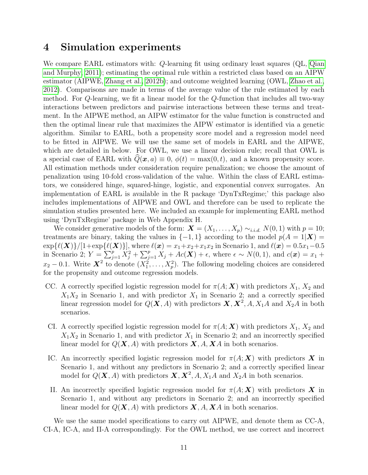## <span id="page-12-0"></span>4 Simulation experiments

We compare EARL estimators with: Q-learning fit using ordinary least squares (QL, [Qian](#page-18-4) [and Murphy, 2011\)](#page-18-4); estimating the optimal rule within a restricted class based on an AIPW estimator (AIPWE, [Zhang et al., 2012b\)](#page-20-3); and outcome weighted learning (OWL, [Zhao et al.,](#page-20-5) [2012\)](#page-20-5). Comparisons are made in terms of the average value of the rule estimated by each method. For Q-learning, we fit a linear model for the Q-function that includes all two-way interactions between predictors and pairwise interactions between these terms and treatment. In the AIPWE method, an AIPW estimator for the value function is constructed and then the optimal linear rule that maximizes the AIPW estimator is identified via a genetic algorithm. Similar to EARL, both a propensity score model and a regression model need to be fitted in AIPWE. We will use the same set of models in EARL and the AIPWE, which are detailed in below. For OWL, we use a linear decision rule; recall that OWL is a special case of EARL with  $Q(\mathbf{x}, a) \equiv 0$ ,  $\phi(t) = \max(0, t)$ , and a known propensity score. All estimation methods under consideration require penalization; we choose the amount of penalization using 10-fold cross-validation of the value. Within the class of EARL estimators, we considered hinge, squared-hinge, logistic, and exponential convex surrogates. An implementation of EARL is available in the R package 'DynTxRegime;' this package also includes implementations of AIPWE and OWL and therefore can be used to replicate the simulation studies presented here. We included an example for implementing EARL method using 'DynTxRegime' package in Web Appendix H.

We consider generative models of the form:  $\mathbf{X} = (X_1, \ldots, X_p) \sim_{i.i.d.} N(0, 1)$  with  $p = 10$ ; treatments are binary, taking the values in  $\{-1,1\}$  according to the model  $p(A = 1|\mathbf{X}) =$  $\exp{\{\ell(X)\}}/[1+\exp{\{\ell(X)\}}]$ , where  $\ell(x) = x_1+x_2+x_1x_2$  in Scenario 1, and  $\ell(x) = 0.5x_1-0.5$ in Scenario 2;  $Y = \sum_{j=1}^p X_j^2 + \sum_{j=1}^p X_j + Ac(\mathbf{X}) + \epsilon$ , where  $\epsilon \sim N(0, 1)$ , and  $c(\mathbf{x}) = x_1 +$  $x_2 - 0.1$ . Write  $\mathbf{X}^2$  to denote  $(X_1^2, \ldots, X_p^2)$ . The following modeling choices are considered for the propensity and outcome regression models.

- CC. A correctly specified logistic regression model for  $\pi(A; X)$  with predictors  $X_1, X_2$  and  $X_1X_2$  in Scenario 1, and with predictor  $X_1$  in Scenario 2; and a correctly specified linear regression model for  $Q(X, A)$  with predictors  $X, X^2, A, X_1A$  and  $X_2A$  in both scenarios.
- CI. A correctly specified logistic regression model for  $\pi(A; X)$  with predictors  $X_1, X_2$  and  $X_1X_2$  in Scenario 1, and with predictor  $X_1$  in Scenario 2; and an incorrectly specified linear model for  $Q(X, A)$  with predictors  $X, A, XA$  in both scenarios.
- IC. An incorrectly specified logistic regression model for  $\pi(A; X)$  with predictors X in Scenario 1, and without any predictors in Scenario 2; and a correctly specified linear model for  $Q(\mathbf{X}, A)$  with predictors  $\mathbf{X}, \mathbf{X}^2, A, X_1A$  and  $X_2A$  in both scenarios.
- II. An incorrectly specified logistic regression model for  $\pi(A; X)$  with predictors X in Scenario 1, and without any predictors in Scenario 2; and an incorrectly specified linear model for  $Q(X, A)$  with predictors  $X, A, XA$  in both scenarios.

We use the same model specifications to carry out AIPWE, and denote them as CC-A, CI-A, IC-A, and II-A correspondingly. For the OWL method, we use correct and incorrect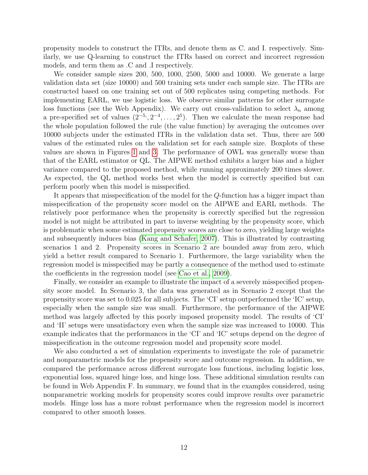propensity models to construct the ITRs, and denote them as C. and I. respectively. Similarly, we use Q-learning to construct the ITRs based on correct and incorrect regression models, and term them as .C and .I respectively.

We consider sample sizes 200, 500, 1000, 2500, 5000 and 10000. We generate a large validation data set (size 10000) and 500 training sets under each sample size. The ITRs are constructed based on one training set out of 500 replicates using competing methods. For implementing EARL, we use logistic loss. We observe similar patterns for other surrogate loss functions (see the Web Appendix). We carry out cross-validation to select  $\lambda_n$  among a pre-specified set of values  $(2^{-5}, 2^{-4}, \ldots, 2^{5})$ . Then we calculate the mean response had the whole population followed the rule (the value function) by averaging the outcomes over 10000 subjects under the estimated ITRs in the validation data set. Thus, there are 500 values of the estimated rules on the validation set for each sample size. Boxplots of these values are shown in Figures [1](#page-21-0) and [3.](#page-23-0) The performance of OWL was generally worse than that of the EARL estimator or QL. The AIPWE method exhibits a larger bias and a higher variance compared to the proposed method, while running approximately 200 times slower. As expected, the QL method works best when the model is correctly specified but can perform poorly when this model is misspecified.

It appears that misspecification of the model for the Q-function has a bigger impact than misspecification of the propensity score model on the AIPWE and EARL methods. The relatively poor performance when the propensity is correctly specified but the regression model is not might be attributed in part to inverse weighting by the propensity score, which is problematic when some estimated propensity scores are close to zero, yielding large weights and subsequently induces bias [\(Kang and Schafer, 2007\)](#page-17-14). This is illustrated by contrasting scenarios 1 and 2. Propensity scores in Scenario 2 are bounded away from zero, which yield a better result compared to Scenario 1. Furthermore, the large variability when the regression model is misspecified may be partly a consequence of the method used to estimate the coefficients in the regression model (see [Cao et al., 2009\)](#page-17-5).

Finally, we consider an example to illustrate the impact of a severely misspecified propensity score model. In Scenario 3, the data was generated as in Scenario 2 except that the propensity score was set to 0.025 for all subjects. The 'CI' setup outperformed the 'IC' setup, especially when the sample size was small. Furthermore, the performance of the AIPWE method was largely affected by this poorly imposed propensity model. The results of 'CI' and 'II' setups were unsatisfactory even when the sample size was increased to 10000. This example indicates that the performances in the 'CI' and 'IC' setups depend on the degree of misspecification in the outcome regression model and propensity score model.

We also conducted a set of simulation experiments to investigate the role of parametric and nonparametric models for the propensity score and outcome regression. In addition, we compared the performance across different surrogate loss functions, including logistic loss, exponential loss, squared hinge loss, and hinge loss. These additional simulation results can be found in Web Appendix F. In summary, we found that in the examples considered, using nonparametric working models for propensity scores could improve results over parametric models. Hinge loss has a more robust performance when the regression model is incorrect compared to other smooth losses.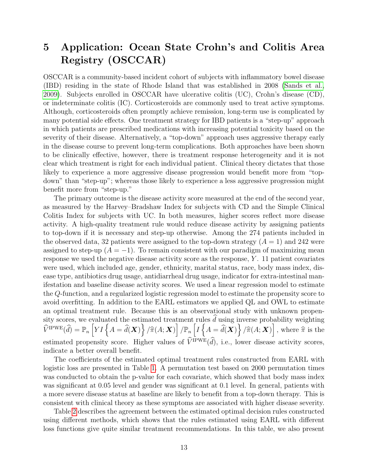## <span id="page-14-0"></span>5 Application: Ocean State Crohn's and Colitis Area Registry (OSCCAR)

OSCCAR is a community-based incident cohort of subjects with inflammatory bowel disease (IBD) residing in the state of Rhode Island that was established in 2008 [\(Sands et al.,](#page-19-13) [2009\)](#page-19-13). Subjects enrolled in OSCCAR have ulcerative colitis (UC), Crohn's disease (CD), or indeterminate colitis (IC). Corticosteroids are commonly used to treat active symptoms. Although, corticosteroids often promptly achieve remission, long-term use is complicated by many potential side effects. One treatment strategy for IBD patients is a "step-up" approach in which patients are prescribed medications with increasing potential toxicity based on the severity of their disease. Alternatively, a "top-down" approach uses aggressive therapy early in the disease course to prevent long-term complications. Both approaches have been shown to be clinically effective, however, there is treatment response heterogeneity and it is not clear which treatment is right for each individual patient. Clinical theory dictates that those likely to experience a more aggressive disease progression would benefit more from "topdown" than "step-up"; whereas those likely to experience a less aggressive progression might benefit more from "step-up."

The primary outcome is the disease activity score measured at the end of the second year, as measured by the Harvey–Bradshaw Index for subjects with CD and the Simple Clinical Colitis Index for subjects with UC. In both measures, higher scores reflect more disease activity. A high-quality treatment rule would reduce disease activity by assigning patients to top-down if it is necessary and step-up otherwise. Among the 274 patients included in the observed data, 32 patients were assigned to the top-down strategy  $(A = 1)$  and 242 were assigned to step-up  $(A = -1)$ . To remain consistent with our paradigm of maximizing mean response we used the negative disease activity score as the response,  $Y$ . 11 patient covariates were used, which included age, gender, ethnicity, marital status, race, body mass index, disease type, antibiotics drug usage, antidiarrheal drug usage, indicator for extra-intestinal manifestation and baseline disease activity scores. We used a linear regression model to estimate the Q-function, and a regularized logistic regression model to estimate the propensity score to avoid overfitting. In addition to the EARL estimators we applied QL and OWL to estimate an optimal treatment rule. Because this is an observational study with unknown propensity scores, we evaluated the estimated treatment rules  $\hat{d}$  using inverse probability weighting  $\widehat{V}^{\text{IPWE}}(\widehat{d}) = \mathbb{P}_n \left[ YI \left\{ A = \widehat{d}(\boldsymbol{X}) \right\} / \widehat{\pi}(A; \boldsymbol{X}) \right] / \mathbb{P}_n \left[ I \left\{ A = \widehat{d}(\boldsymbol{X}) \right\} / \widehat{\pi}(A; \boldsymbol{X}) \right], \text{ where } \widehat{\pi} \text{ is the } \widehat{\pi}$ estimated propensity score. Higher values of  $\widehat{V}^{\text{IPWE}}(\widehat{d})$ , i.e., lower disease activity scores, indicate a better overall benefit.

The coefficients of the estimated optimal treatment rules constructed from EARL with logistic loss are presented in Table [1.](#page-15-0) A permutation test based on 2000 permutation times was conducted to obtain the p-value for each covariate, which showed that body mass index was significant at 0.05 level and gender was significant at 0.1 level. In general, patients with a more severe disease status at baseline are likely to benefit from a top-down therapy. This is consistent with clinical theory as these symptoms are associated with higher disease severity.

Table [2](#page-16-0) describes the agreement between the estimated optimal decision rules constructed using different methods, which shows that the rules estimated using EARL with different loss functions give quite similar treatment recommendations. In this table, we also present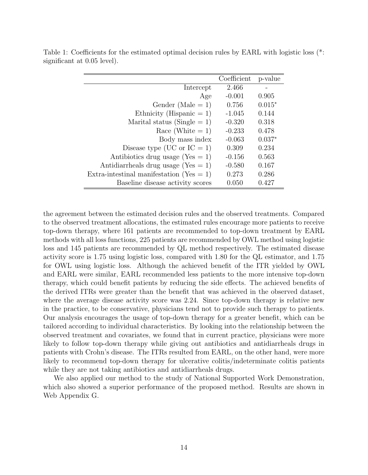|                                             | Coefficient | p-value  |
|---------------------------------------------|-------------|----------|
| Intercept                                   | 2.466       |          |
| Age                                         | $-0.001$    | 0.905    |
| Gender (Male $= 1$ )                        | 0.756       | $0.015*$ |
| Ethnicity (Hispanic $= 1$ )                 | $-1.045$    | 0.144    |
| Marital status (Single $= 1$ )              | $-0.320$    | 0.318    |
| Race (White $= 1$ )                         | $-0.233$    | 0.478    |
| Body mass index                             | $-0.063$    | $0.037*$ |
| Disease type (UC or $IC = 1$ )              | 0.309       | 0.234    |
| Antibiotics drug usage (Yes $= 1$ )         | $-0.156$    | 0.563    |
| Antidiarrheals drug usage (Yes $= 1$ )      | $-0.580$    | 0.167    |
| Extra-intestinal manifestation (Yes $= 1$ ) | 0.273       | 0.286    |
| Baseline disease activity scores            | 0.050       | 0.427    |

<span id="page-15-0"></span>Table 1: Coefficients for the estimated optimal decision rules by EARL with logistic loss  $(*:$ significant at 0.05 level).

the agreement between the estimated decision rules and the observed treatments. Compared to the observed treatment allocations, the estimated rules encourage more patients to receive top-down therapy, where 161 patients are recommended to top-down treatment by EARL methods with all loss functions, 225 patients are recommended by OWL method using logistic loss and 145 patients are recommended by QL method respectively. The estimated disease activity score is 1.75 using logistic loss, compared with 1.80 for the QL estimator, and 1.75 for OWL using logistic loss. Although the achieved benefit of the ITR yielded by OWL and EARL were similar, EARL recommended less patients to the more intensive top-down therapy, which could benefit patients by reducing the side effects. The achieved benefits of the derived ITRs were greater than the benefit that was achieved in the observed dataset, where the average disease activity score was 2.24. Since top-down therapy is relative new in the practice, to be conservative, physicians tend not to provide such therapy to patients. Our analysis encourages the usage of top-down therapy for a greater benefit, which can be tailored according to individual characteristics. By looking into the relationship between the observed treatment and covariates, we found that in current practice, physicians were more likely to follow top-down therapy while giving out antibiotics and antidiarrheals drugs in patients with Crohn's disease. The ITRs resulted from EARL, on the other hand, were more likely to recommend top-down therapy for ulcerative colitis/indeterminate colitis patients while they are not taking antibiotics and antidiarrheals drugs.

We also applied our method to the study of National Supported Work Demonstration, which also showed a superior performance of the proposed method. Results are shown in Web Appendix G.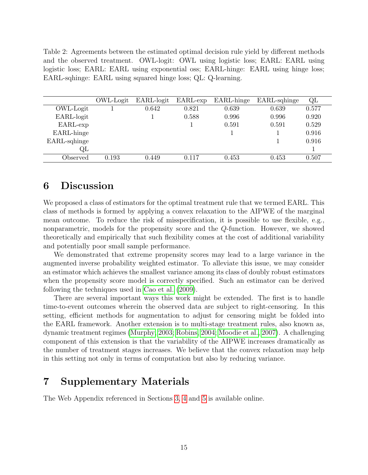<span id="page-16-0"></span>Table 2: Agreements between the estimated optimal decision rule yield by different methods and the observed treatment. OWL-logit: OWL using logistic loss; EARL: EARL using logistic loss; EARL: EARL using exponential oss; EARL-hinge: EARL using hinge loss; EARL-sqhinge: EARL using squared hinge loss; QL: Q-learning.

|              | OWL-Logit | EARL-logit | EARL-exp | EARL-hinge | EARL-sqhinge | QL    |
|--------------|-----------|------------|----------|------------|--------------|-------|
| OWL-Logit    |           | 0.642      | 0.821    | 0.639      | 0.639        | 0.577 |
| EARL-logit   |           |            | 0.588    | 0.996      | 0.996        | 0.920 |
| EARL-exp     |           |            |          | 0.591      | 0.591        | 0.529 |
| EARL-hinge   |           |            |          |            |              | 0.916 |
| EARL-sqhinge |           |            |          |            |              | 0.916 |
| QL           |           |            |          |            |              |       |
| Observed     | 0.193     | 0.449      | 0.117    | 0.453      | 0.453        | 0.507 |

## 6 Discussion

We proposed a class of estimators for the optimal treatment rule that we termed EARL. This class of methods is formed by applying a convex relaxation to the AIPWE of the marginal mean outcome. To reduce the risk of misspecification, it is possible to use flexible, e.g., nonparametric, models for the propensity score and the Q-function. However, we showed theoretically and empirically that such flexibility comes at the cost of additional variability and potentially poor small sample performance.

We demonstrated that extreme propensity scores may lead to a large variance in the augmented inverse probability weighted estimator. To alleviate this issue, we may consider an estimator which achieves the smallest variance among its class of doubly robust estimators when the propensity score model is correctly specified. Such an estimator can be derived following the techniques used in [Cao et al.](#page-17-5) [\(2009\)](#page-17-5).

There are several important ways this work might be extended. The first is to handle time-to-event outcomes wherein the observed data are subject to right-censoring. In this setting, efficient methods for augmentation to adjust for censoring might be folded into the EARL framework. Another extension is to multi-stage treatment rules, also known as, dynamic treatment regimes [\(Murphy, 2003;](#page-18-3) [Robins, 2004;](#page-19-1) [Moodie et al., 2007\)](#page-18-14). A challenging component of this extension is that the variability of the AIPWE increases dramatically as the number of treatment stages increases. We believe that the convex relaxation may help in this setting not only in terms of computation but also by reducing variance.

## 7 Supplementary Materials

The Web Appendix referenced in Sections [3,](#page-8-0) [4](#page-12-0) and [5](#page-14-0) is available online.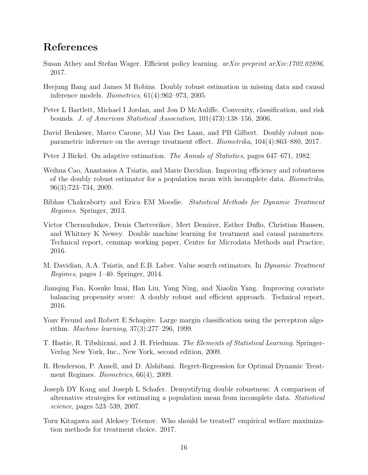## References

- <span id="page-17-2"></span>Susan Athey and Stefan Wager. Efficient policy learning. arXiv preprint arXiv:1702.02896, 2017.
- <span id="page-17-4"></span>Heejung Bang and James M Robins. Doubly robust estimation in missing data and causal inference models. Biometrics, 61(4):962–973, 2005.
- <span id="page-17-7"></span>Peter L Bartlett, Michael I Jordan, and Jon D McAuliffe. Convexity, classification, and risk bounds. J. of American Statistical Association, 101(473):138–156, 2006.
- <span id="page-17-12"></span>David Benkeser, Marco Carone, MJ Van Der Laan, and PB Gilbert. Doubly robust nonparametric inference on the average treatment effect. Biometrika, 104(4):863–880, 2017.
- <span id="page-17-9"></span>Peter J Bickel. On adaptive estimation. The Annals of Statistics, pages 647–671, 1982.
- <span id="page-17-5"></span>Weihua Cao, Anastasios A Tsiatis, and Marie Davidian. Improving efficiency and robustness of the doubly robust estimator for a population mean with incomplete data. Biometrika, 96(3):723–734, 2009.
- <span id="page-17-0"></span>Bibhas Chakraborty and Erica EM Moodie. Statistical Methods for Dynamic Treatment Regimes. Springer, 2013.
- <span id="page-17-10"></span>Victor Chernozhukov, Denis Chetverikov, Mert Demirer, Esther Duflo, Christian Hansen, and Whitney K Newey. Double machine learning for treatment and causal parameters. Technical report, cemmap working paper, Centre for Microdata Methods and Practice, 2016.
- <span id="page-17-3"></span>M. Davidian, A.A. Tsiatis, and E.B. Laber. Value search estimators. In *Dynamic Treatment* Regimes, pages 1–40. Springer, 2014.
- <span id="page-17-11"></span>Jianqing Fan, Kosuke Imai, Han Liu, Yang Ning, and Xiaolin Yang. Improving covariate balancing propensity score: A doubly robust and efficient approach. Technical report, 2016.
- <span id="page-17-6"></span>Yoav Freund and Robert E Schapire. Large margin classification using the perceptron algorithm. Machine learning, 37(3):277–296, 1999.
- <span id="page-17-8"></span>T. Hastie, R. Tibshirani, and J. H. Friedman. The Elements of Statistical Learning. Springer-Verlag New York, Inc., New York, second edition, 2009.
- <span id="page-17-1"></span>R. Henderson, P. Ansell, and D. Alshibani. Regret-Regression for Optimal Dynamic Treatment Regimes. Biometrics, 66(4), 2009.
- <span id="page-17-14"></span>Joseph DY Kang and Joseph L Schafer. Demystifying double robustness: A comparison of alternative strategies for estimating a population mean from incomplete data. Statistical science, pages 523–539, 2007.
- <span id="page-17-13"></span>Toru Kitagawa and Aleksey Tetenov. Who should be treated? empirical welfare maximization methods for treatment choice. 2017.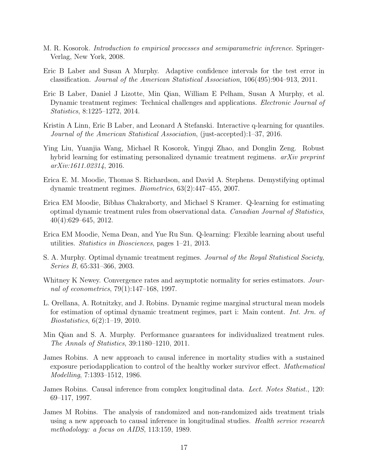- <span id="page-18-12"></span>M. R. Kosorok. Introduction to empirical processes and semiparametric inference. Springer-Verlag, New York, 2008.
- <span id="page-18-11"></span>Eric B Laber and Susan A Murphy. Adaptive confidence intervals for the test error in classification. Journal of the American Statistical Association, 106(495):904–913, 2011.
- <span id="page-18-7"></span>Eric B Laber, Daniel J Lizotte, Min Qian, William E Pelham, Susan A Murphy, et al. Dynamic treatment regimes: Technical challenges and applications. *Electronic Journal of* Statistics, 8:1225–1272, 2014.
- <span id="page-18-0"></span>Kristin A Linn, Eric B Laber, and Leonard A Stefanski. Interactive q-learning for quantiles. Journal of the American Statistical Association, (just-accepted):1–37, 2016.
- <span id="page-18-9"></span>Ying Liu, Yuanjia Wang, Michael R Kosorok, Yingqi Zhao, and Donglin Zeng. Robust hybrid learning for estimating personalized dynamic treatment regimens. *arXiv preprint* arXiv:1611.02314, 2016.
- <span id="page-18-14"></span>Erica E. M. Moodie, Thomas S. Richardson, and David A. Stephens. Demystifying optimal dynamic treatment regimes. Biometrics, 63(2):447–455, 2007.
- <span id="page-18-5"></span>Erica EM Moodie, Bibhas Chakraborty, and Michael S Kramer. Q-learning for estimating optimal dynamic treatment rules from observational data. Canadian Journal of Statistics, 40(4):629–645, 2012.
- <span id="page-18-6"></span>Erica EM Moodie, Nema Dean, and Yue Ru Sun. Q-learning: Flexible learning about useful utilities. Statistics in Biosciences, pages 1–21, 2013.
- <span id="page-18-3"></span>S. A. Murphy. Optimal dynamic treatment regimes. Journal of the Royal Statistical Society, Series B, 65:331–366, 2003.
- <span id="page-18-13"></span>Whitney K Newey. Convergence rates and asymptotic normality for series estimators. Journal of econometrics, 79(1):147–168, 1997.
- <span id="page-18-8"></span>L. Orellana, A. Rotnitzky, and J. Robins. Dynamic regime marginal structural mean models for estimation of optimal dynamic treatment regimes, part i: Main content. Int. Jrn. of Biostatistics, 6(2):1–19, 2010.
- <span id="page-18-4"></span>Min Qian and S. A. Murphy. Performance guarantees for individualized treatment rules. The Annals of Statistics, 39:1180–1210, 2011.
- <span id="page-18-10"></span>James Robins. A new approach to causal inference in mortality studies with a sustained exposure periodapplication to control of the healthy worker survivor effect. *Mathematical* Modelling, 7:1393–1512, 1986.
- <span id="page-18-2"></span>James Robins. Causal inference from complex longitudinal data. Lect. Notes Statist., 120: 69–117, 1997.
- <span id="page-18-1"></span>James M Robins. The analysis of randomized and non-randomized aids treatment trials using a new approach to causal inference in longitudinal studies. *Health service research* methodology: a focus on AIDS, 113:159, 1989.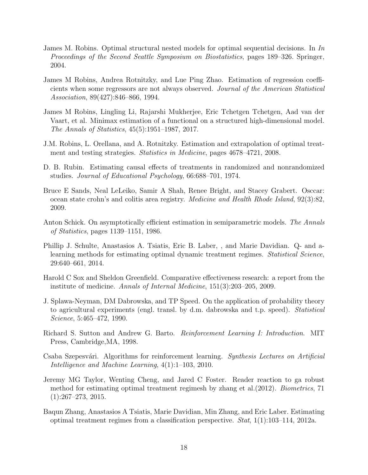- <span id="page-19-1"></span>James M. Robins. Optimal structural nested models for optimal sequential decisions. In In Proceedings of the Second Seattle Symposium on Biostatistics, pages 189–326. Springer, 2004.
- <span id="page-19-9"></span>James M Robins, Andrea Rotnitzky, and Lue Ping Zhao. Estimation of regression coefficients when some regressors are not always observed. Journal of the American Statistical Association, 89(427):846–866, 1994.
- <span id="page-19-12"></span>James M Robins, Lingling Li, Rajarshi Mukherjee, Eric Tchetgen Tchetgen, Aad van der Vaart, et al. Minimax estimation of a functional on a structured high-dimensional model. The Annals of Statistics, 45(5):1951–1987, 2017.
- <span id="page-19-5"></span>J.M. Robins, L. Orellana, and A. Rotnitzky. Estimation and extrapolation of optimal treatment and testing strategies. *Statistics in Medicine*, pages  $4678-4721$ , 2008.
- <span id="page-19-7"></span>D. B. Rubin. Estimating causal effects of treatments in randomized and nonrandomized studies. Journal of Educational Psychology, 66:688–701, 1974.
- <span id="page-19-13"></span>Bruce E Sands, Neal LeLeiko, Samir A Shah, Renee Bright, and Stacey Grabert. Osccar: ocean state crohn's and colitis area registry. Medicine and Health Rhode Island, 92(3):82, 2009.
- <span id="page-19-11"></span>Anton Schick. On asymptotically efficient estimation in semiparametric models. The Annals of Statistics, pages 1139–1151, 1986.
- <span id="page-19-2"></span>Phillip J. Schulte, Anastasios A. Tsiatis, Eric B. Laber, , and Marie Davidian. Q- and alearning methods for estimating optimal dynamic treatment regimes. Statistical Science, 29:640–661, 2014.
- <span id="page-19-0"></span>Harold C Sox and Sheldon Greenfield. Comparative effectiveness research: a report from the institute of medicine. Annals of Internal Medicine, 151(3):203–205, 2009.
- <span id="page-19-8"></span>J. Splawa-Neyman, DM Dabrowska, and TP Speed. On the application of probability theory to agricultural experiments (engl. transl. by d.m. dabrowska and t.p. speed). Statistical Science, 5:465–472, 1990.
- <span id="page-19-3"></span>Richard S. Sutton and Andrew G. Barto. Reinforcement Learning I: Introduction. MIT Press, Cambridge,MA, 1998.
- <span id="page-19-4"></span>Csaba Szepesvári. Algorithms for reinforcement learning. Synthesis Lectures on Artificial Intelligence and Machine Learning, 4(1):1–103, 2010.
- <span id="page-19-6"></span>Jeremy MG Taylor, Wenting Cheng, and Jared C Foster. Reader reaction to ga robust method for estimating optimal treatment regimesh by zhang et al.(2012). Biometrics, 71  $(1):267-273, 2015.$
- <span id="page-19-10"></span>Baqun Zhang, Anastasios A Tsiatis, Marie Davidian, Min Zhang, and Eric Laber. Estimating optimal treatment regimes from a classification perspective.  $Stat$ ,  $1(1):103-114$ ,  $2012a$ .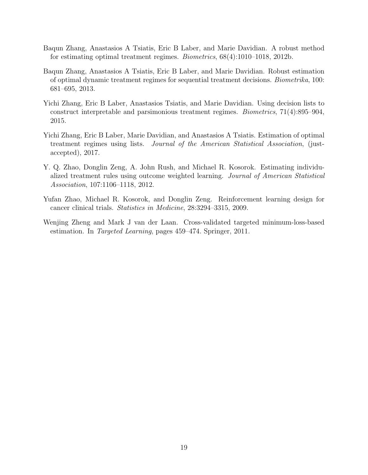- <span id="page-20-3"></span>Baqun Zhang, Anastasios A Tsiatis, Eric B Laber, and Marie Davidian. A robust method for estimating optimal treatment regimes. Biometrics, 68(4):1010–1018, 2012b.
- <span id="page-20-4"></span>Baqun Zhang, Anastasios A Tsiatis, Eric B Laber, and Marie Davidian. Robust estimation of optimal dynamic treatment regimes for sequential treatment decisions. Biometrika, 100: 681–695, 2013.
- <span id="page-20-1"></span>Yichi Zhang, Eric B Laber, Anastasios Tsiatis, and Marie Davidian. Using decision lists to construct interpretable and parsimonious treatment regimes. Biometrics, 71(4):895–904, 2015.
- <span id="page-20-2"></span>Yichi Zhang, Eric B Laber, Marie Davidian, and Anastasios A Tsiatis. Estimation of optimal treatment regimes using lists. Journal of the American Statistical Association, (justaccepted), 2017.
- <span id="page-20-5"></span>Y. Q. Zhao, Donglin Zeng, A. John Rush, and Michael R. Kosorok. Estimating individualized treatment rules using outcome weighted learning. Journal of American Statistical Association, 107:1106–1118, 2012.
- <span id="page-20-0"></span>Yufan Zhao, Michael R. Kosorok, and Donglin Zeng. Reinforcement learning design for cancer clinical trials. Statistics in Medicine, 28:3294–3315, 2009.
- <span id="page-20-6"></span>Wenjing Zheng and Mark J van der Laan. Cross-validated targeted minimum-loss-based estimation. In Targeted Learning, pages 459–474. Springer, 2011.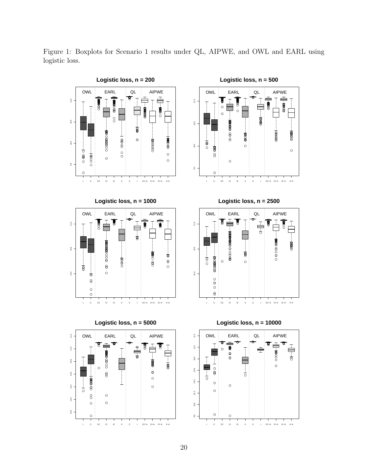Figure 1: Boxplots for Scenario 1 results under QL, AIPWE, and OWL and EARL using logistic loss.

<span id="page-21-0"></span>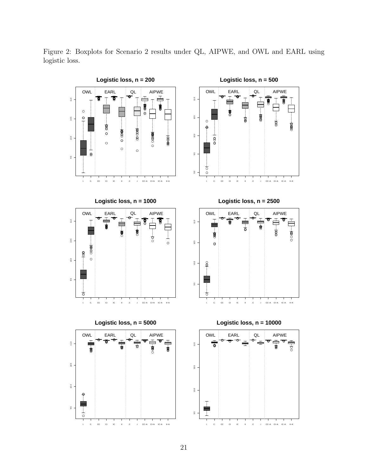Figure 2: Boxplots for Scenario 2 results under QL, AIPWE, and OWL and EARL using logistic loss.